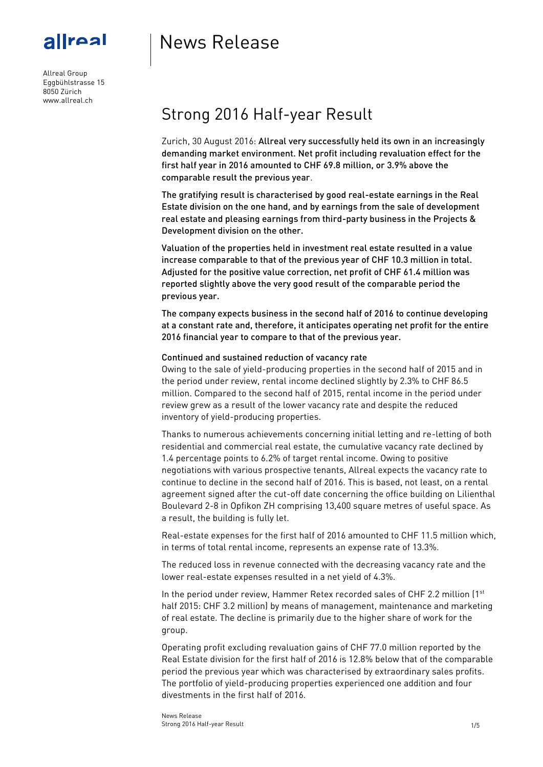# News Release

Allreal Group Eggbühlstrasse 15 8050 Zürich www.allreal.ch

allreal

# Strong 2016 Half-year Result

Zurich, 30 August 2016: Allreal very successfully held its own in an increasingly demanding market environment. Net profit including revaluation effect for the first half year in 2016 amounted to CHF 69.8 million, or 3.9% above the comparable result the previous year.

The gratifying result is characterised by good real-estate earnings in the Real Estate division on the one hand, and by earnings from the sale of development real estate and pleasing earnings from third-party business in the Projects & Development division on the other.

Valuation of the properties held in investment real estate resulted in a value increase comparable to that of the previous year of CHF 10.3 million in total. Adjusted for the positive value correction, net profit of CHF 61.4 million was reported slightly above the very good result of the comparable period the previous year.

The company expects business in the second half of 2016 to continue developing at a constant rate and, therefore, it anticipates operating net profit for the entire 2016 financial year to compare to that of the previous year.

### Continued and sustained reduction of vacancy rate

Owing to the sale of yield-producing properties in the second half of 2015 and in the period under review, rental income declined slightly by 2.3% to CHF 86.5 million. Compared to the second half of 2015, rental income in the period under review grew as a result of the lower vacancy rate and despite the reduced inventory of yield-producing properties.

Thanks to numerous achievements concerning initial letting and re-letting of both residential and commercial real estate, the cumulative vacancy rate declined by 1.4 percentage points to 6.2% of target rental income. Owing to positive negotiations with various prospective tenants, Allreal expects the vacancy rate to continue to decline in the second half of 2016. This is based, not least, on a rental agreement signed after the cut-off date concerning the office building on Lilienthal Boulevard 2-8 in Opfikon ZH comprising 13,400 square metres of useful space. As a result, the building is fully let.

Real-estate expenses for the first half of 2016 amounted to CHF 11.5 million which, in terms of total rental income, represents an expense rate of 13.3%.

The reduced loss in revenue connected with the decreasing vacancy rate and the lower real-estate expenses resulted in a net yield of 4.3%.

In the period under review, Hammer Retex recorded sales of CHF 2.2 million (1<sup>st</sup> half 2015: CHF 3.2 million) by means of management, maintenance and marketing of real estate. The decline is primarily due to the higher share of work for the group.

Operating profit excluding revaluation gains of CHF 77.0 million reported by the Real Estate division for the first half of 2016 is 12.8% below that of the comparable period the previous year which was characterised by extraordinary sales profits. The portfolio of yield-producing properties experienced one addition and four divestments in the first half of 2016.

News Release Strong 2016 Half-year Result 1/5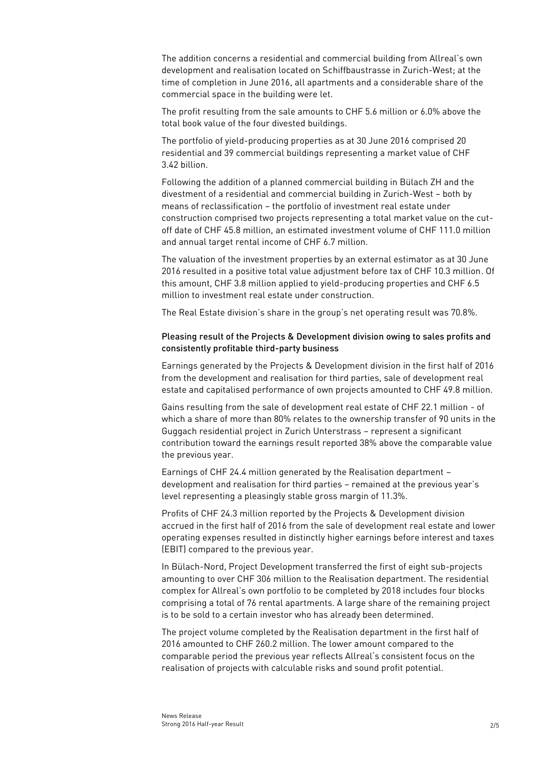The addition concerns a residential and commercial building from Allreal's own development and realisation located on Schiffbaustrasse in Zurich-West; at the time of completion in June 2016, all apartments and a considerable share of the commercial space in the building were let.

The profit resulting from the sale amounts to CHF 5.6 million or 6.0% above the total book value of the four divested buildings.

The portfolio of yield-producing properties as at 30 June 2016 comprised 20 residential and 39 commercial buildings representing a market value of CHF 3.42 billion.

Following the addition of a planned commercial building in Bülach ZH and the divestment of a residential and commercial building in Zurich-West – both by means of reclassification – the portfolio of investment real estate under construction comprised two projects representing a total market value on the cutoff date of CHF 45.8 million, an estimated investment volume of CHF 111.0 million and annual target rental income of CHF 6.7 million.

The valuation of the investment properties by an external estimator as at 30 June 2016 resulted in a positive total value adjustment before tax of CHF 10.3 million. Of this amount, CHF 3.8 million applied to yield-producing properties and CHF 6.5 million to investment real estate under construction.

The Real Estate division's share in the group's net operating result was 70.8%.

## Pleasing result of the Projects & Development division owing to sales profits and consistently profitable third-party business

Earnings generated by the Projects & Development division in the first half of 2016 from the development and realisation for third parties, sale of development real estate and capitalised performance of own projects amounted to CHF 49.8 million.

Gains resulting from the sale of development real estate of CHF 22.1 million - of which a share of more than 80% relates to the ownership transfer of 90 units in the Guggach residential project in Zurich Unterstrass – represent a significant contribution toward the earnings result reported 38% above the comparable value the previous year.

Earnings of CHF 24.4 million generated by the Realisation department – development and realisation for third parties – remained at the previous year's level representing a pleasingly stable gross margin of 11.3%.

Profits of CHF 24.3 million reported by the Projects & Development division accrued in the first half of 2016 from the sale of development real estate and lower operating expenses resulted in distinctly higher earnings before interest and taxes (EBIT) compared to the previous year.

In Bülach-Nord, Project Development transferred the first of eight sub-projects amounting to over CHF 306 million to the Realisation department. The residential complex for Allreal's own portfolio to be completed by 2018 includes four blocks comprising a total of 76 rental apartments. A large share of the remaining project is to be sold to a certain investor who has already been determined.

The project volume completed by the Realisation department in the first half of 2016 amounted to CHF 260.2 million. The lower amount compared to the comparable period the previous year reflects Allreal's consistent focus on the realisation of projects with calculable risks and sound profit potential.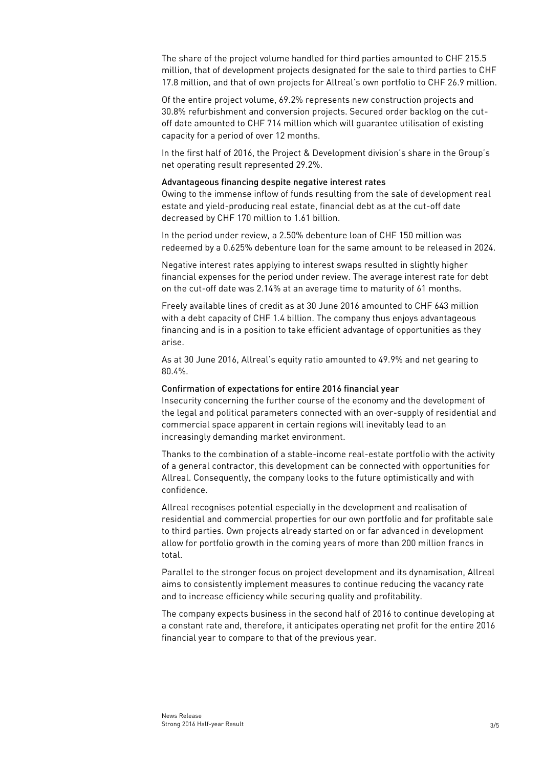The share of the project volume handled for third parties amounted to CHF 215.5 million, that of development projects designated for the sale to third parties to CHF 17.8 million, and that of own projects for Allreal's own portfolio to CHF 26.9 million.

Of the entire project volume, 69.2% represents new construction projects and 30.8% refurbishment and conversion projects. Secured order backlog on the cutoff date amounted to CHF 714 million which will guarantee utilisation of existing capacity for a period of over 12 months.

In the first half of 2016, the Project & Development division's share in the Group's net operating result represented 29.2%.

### Advantageous financing despite negative interest rates

Owing to the immense inflow of funds resulting from the sale of development real estate and yield-producing real estate, financial debt as at the cut-off date decreased by CHF 170 million to 1.61 billion.

In the period under review, a 2.50% debenture loan of CHF 150 million was redeemed by a 0.625% debenture loan for the same amount to be released in 2024.

Negative interest rates applying to interest swaps resulted in slightly higher financial expenses for the period under review. The average interest rate for debt on the cut-off date was 2.14% at an average time to maturity of 61 months.

Freely available lines of credit as at 30 June 2016 amounted to CHF 643 million with a debt capacity of CHF 1.4 billion. The company thus enjoys advantageous financing and is in a position to take efficient advantage of opportunities as they arise.

As at 30 June 2016, Allreal's equity ratio amounted to 49.9% and net gearing to 80.4%.

#### Confirmation of expectations for entire 2016 financial year

Insecurity concerning the further course of the economy and the development of the legal and political parameters connected with an over-supply of residential and commercial space apparent in certain regions will inevitably lead to an increasingly demanding market environment.

Thanks to the combination of a stable-income real-estate portfolio with the activity of a general contractor, this development can be connected with opportunities for Allreal. Consequently, the company looks to the future optimistically and with confidence.

Allreal recognises potential especially in the development and realisation of residential and commercial properties for our own portfolio and for profitable sale to third parties. Own projects already started on or far advanced in development allow for portfolio growth in the coming years of more than 200 million francs in total.

Parallel to the stronger focus on project development and its dynamisation, Allreal aims to consistently implement measures to continue reducing the vacancy rate and to increase efficiency while securing quality and profitability.

The company expects business in the second half of 2016 to continue developing at a constant rate and, therefore, it anticipates operating net profit for the entire 2016 financial year to compare to that of the previous year.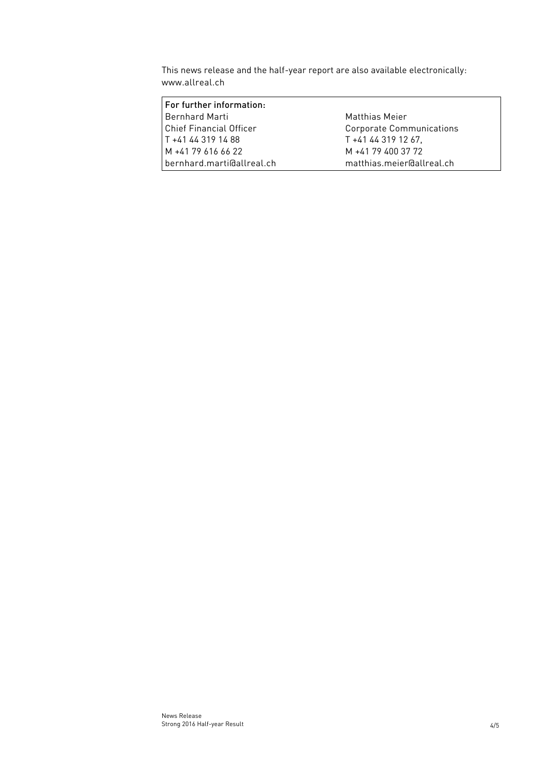This news release and the half-year report are also available electronically: [www.allreal.ch](http://www.allreal.ch/)

| For further information:       |                           |
|--------------------------------|---------------------------|
| Bernhard Marti                 | Matthias Meier            |
| <b>Chief Financial Officer</b> | Corporate Communications  |
| T +41 44 319 14 88             | T +41 44 319 12 67.       |
| M +41 79 616 66 22             | M +41 79 400 37 72        |
| bernhard.marti@allreal.ch      | matthias.meier@allreal.ch |